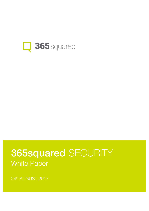

# 365squared SECURITY White Paper

24th AUGUST 2017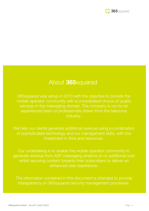

# About 365squared

365squared was setup in 2013 with the objective to provide the mobile operator community with a consolidated choice of quality services in the messaging domain. The company is run by an experienced team of professionals drawn from the telecoms industry.

We help our clients generate additional revenue using a combination of sophisticated technology and our management skills, with low investment in time and resources.

Our undertaking is to enable the mobile operator community to generate revenue from A2P messaging streams at no additional cost whilst securing content towards their subscribers to deliver an enhanced user experience.

The information contained in this document is intended to provide transparency on 365squared security management processes.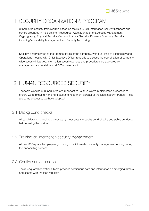

# 1 SECURITY ORGANIZATION & PROGRAM

365squared security framework is based on the ISO 27001 Information Security Standard and covers programs in Policies and Procedures, Asset Management, Access Management, Cryptography, Physical Security, Communications Security, Business Continuity Security, including Vulnerability Management and Security Monitoring.

Security is represented at the topmost levels of the company, with our Head of Technology and Operations meeting with Chief Executive Officer regularly to discuss the coordination of companywide security initiatives. Information security policies and procedures are approved by management and available to all 365squared staff.

## 2 HUMAN RESOURCES SECURITY

The team working at 365squared are important to us, thus we've implemented processes to ensure we're bringing in the right staff and keep them abreast of the latest security trends. These are some processes we have adopted:

#### 2.1 Background checks

All candidates onboarding the company must pass the background checks and police conducts before taking the position.

#### 2.2 Training on Information security management

All new 365squared employees go through the information security management training during the onboarding process.

#### 2.3 Continuous education

The 365squared operations Team provides continuous data and information on emerging threats and shares with the staff regularly.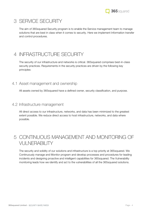

## 3 SERVICE SECURITY

The aim of 365squared Security program is to enable the Service management team to manage solutions that are best in class when it comes to security. Here we implement Information transfer and control procedures.

# 4 INFRASTRUCTURE SECURITY

The security of our infrastructure and networks is critical. 365squared comprises best-in-class security practices. Requirements in the security practices are driven by the following key principles:

#### 4.1 Asset management and ownership

All assets owned by 365squared have a defined owner, security classification, and purpose.

#### 4.2 Infrastructure management

All direct access to our infrastructure, networks, and data has been minimized to the greatest extent possible. We reduce direct access to host infrastructure, networks, and data where possible.

# 5 CONTINUOUS MANAGEMENT AND MONITORING OF VULNERABILITY

The security and solidity of our solutions and infrastructure is a top priority at 365squared. We Continuously manage and Monitor program and develop processes and procedures for leading incidents and designing proactive and intelligent capabilities for 365squared. The Vulnerability monitoring leads how we identify and act to the vulnerabilities of all the 365squared solutions.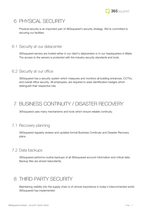# 6 PHYSICAL SECURITY

Physical security is an important part of 365squared's security strategy. We're committed to securing our facilities.

6.1 Security at our datacenter

365squared servers are hosted either in our client's datacenters or in our headquarters in Malta. The access to the servers is protected with the industry security standards and tools.

#### 6.2 Security at our office

365squared has a security system which measures and monitors all building entrances, CCTVs, and overall office security. All employees, are required to wear identification badges which distinguish their respective role.

# 7 BUSINESS CONTINUITY / DISASTER RECOVERY

365squared uses many mechanisms and tools which ensure reliable continuity.

#### 7.1 Recovery planning

365squared regularly reviews and updates formal Business Continuity and Disaster Recovery plans.

#### 7.2 Data backups

365squared performs routine backups of all 365squared account information and critical data. Backup files are stored redundantly.

# 8 THIRD-PARTY SECURITY

Maintaining visibility into the supply chain is of utmost importance in today's interconnected world. 365squared has implemented: